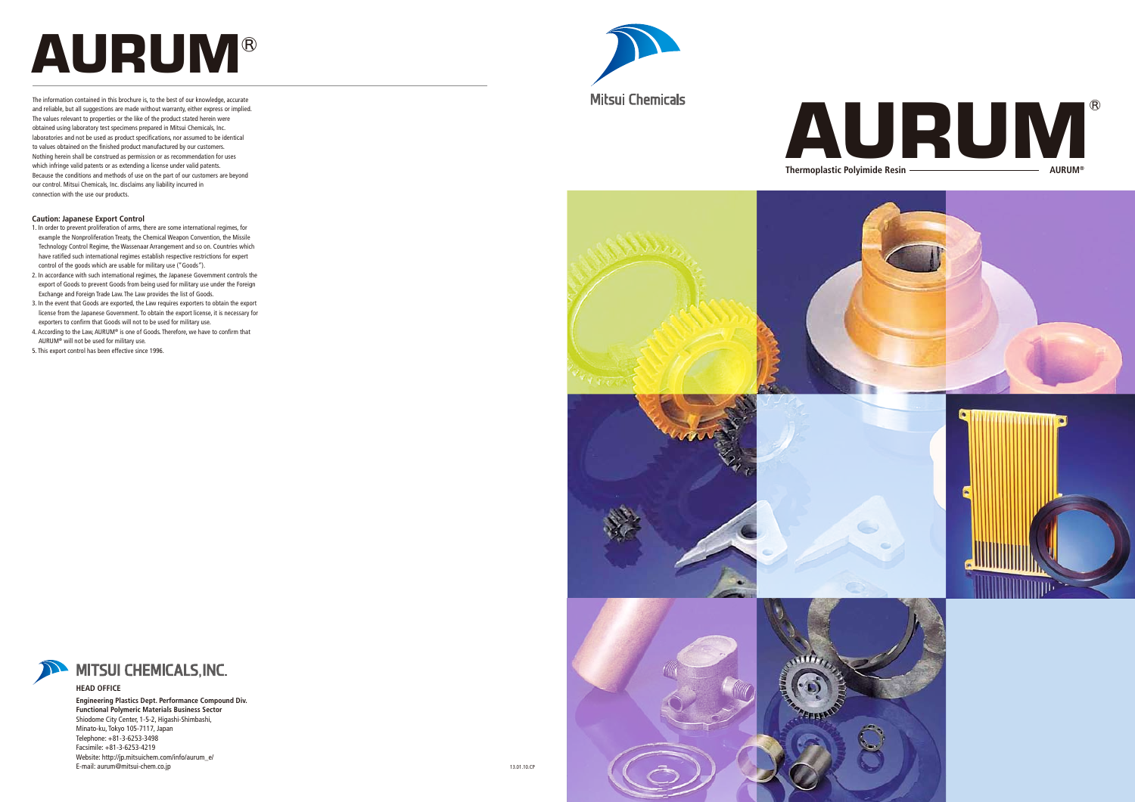# **AURUM**®



and reliable, but all suggestions are made without warranty, either express or implied. The values relevant to properties or the like of the product stated herein were obtained using laboratory test specimens prepared in Mitsui Chemicals, Inc. laboratories and not be used as product specifications, nor assumed to be identical to values obtained on the finished product manufactured by our customers. Nothing herein shall be construed as permission or as recommendation for uses which infringe valid patents or as extending a license under valid patents. Because the conditions and methods of use on the part of our customers are beyond our control. Mitsui Chemicals, Inc. disclaims any liability incurred in connection with the use our products.

#### **Caution: Japanese Export Control**

- 1. In order to prevent proliferation of arms, there are some international regimes, for example the Nonproliferation Treaty, the Chemical Weapon Convention, the Missile Technology Control Regime, the Wassenaar Arrangement and so on. Countries which have ratified such international regimes establish respective restrictions for expert control of the goods which are usable for military use ("Goods").
- 2. In accordance with such international regimes, the Japanese Government controls the export of Goods to prevent Goods from being used for military use under the Foreign Exchange and Foreign Trade Law. The Law provides the list of Goods.
- 3. In the event that Goods are exported, the Law requires exporters to obtain the export license from the Japanese Government. To obtain the export license, it is necessary for exporters to confirm that Goods will not to be used for military use. 4. According to the Law, AURUM® is one of Goods. Therefore, we have to confirm that
- AURUM® will not be used for military use.
- 5. This export control has been effective since 1996.









#### **HEAD OFFICE**

**Engineering Plastics Dept. Performance Compound Div. Functional Polymeric Materials Business Sector** Shiodome City Center, 1-5-2, Higashi-Shimbashi, Minato-ku, Tokyo 105-7117, Japan Telephone: +81-3-6253-3498 Facsimile: +81-3-6253-4219 Website: http://jp.mitsuichem.com/info/aurum\_e/ E-mail: aurum@mitsui-chem.co.jp

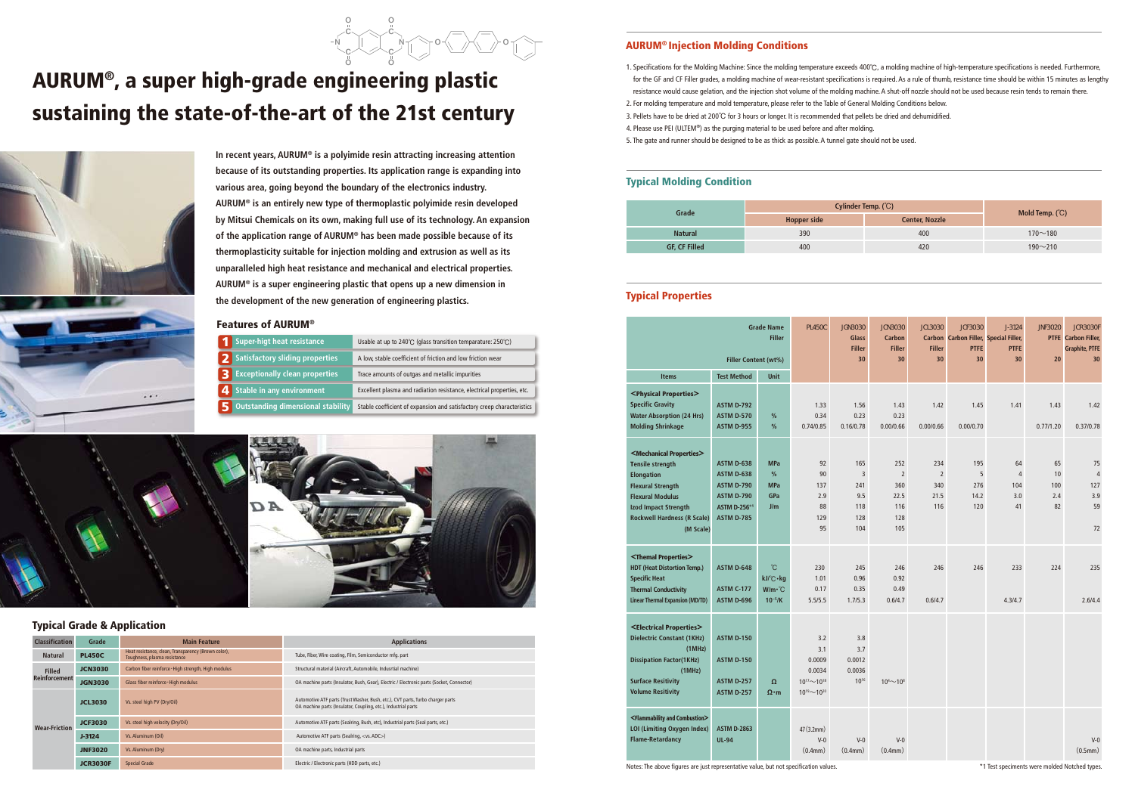## AURUM®, a super high-grade engineering plastic sustaining the state-of-the-art of the 21st century



**In recent years, AURUM® is a polyimide resin attracting increasing attention because of its outstanding properties. Its application range is expanding into various area, going beyond the boundary of the electronics industry. AURUM® is an entirely new type of thermoplastic polyimide resin developed by Mitsui Chemicals on its own, making full use of its technology. An expansion of the application range of AURUM® has been made possible because of its thermoplasticity suitable for injection molding and extrusion as well as its unparalleled high heat resistance and mechanical and electrical properties. AURUM® is a super engineering plastic that opens up a new dimension in the development of the new generation of engineering plastics.**

#### Features of AURUM®

#### Typical Grade & Application

| Super-higt heat resistance             | Usable at up to 240°C (glass transition temparature: 250°C)            |
|----------------------------------------|------------------------------------------------------------------------|
| <b>Satisfactory sliding properties</b> | A low, stable coefficient of friction and low friction wear            |
| <b>Exceptionally clean properties</b>  | Trace amounts of outgas and metallic impurities                        |
| Stable in any environment              | Excellent plasma and radiation resistance, electrical properties, etc. |
| Outstanding dimensional stability      | Stable coefficient of expansion and satisfactory creep characteristics |





| <b>Classification</b> | Grade           | <b>Main Feature</b>                                                                 | <b>Applications</b>                                                                                                                               |  |  |  |  |
|-----------------------|-----------------|-------------------------------------------------------------------------------------|---------------------------------------------------------------------------------------------------------------------------------------------------|--|--|--|--|
| <b>Natural</b>        | <b>PL450C</b>   | Heat resistance, clean, Transparency (Brown color),<br>Toughness, plasma resistance | Tube, Fiber, Wire coating, Film, Semiconductor mfg. part                                                                                          |  |  |  |  |
| <b>Filled</b>         | <b>JCN3030</b>  | Carbon fiber reinforce · High strength, High modulus                                | Structural material (Aircraft, Automobile, Indusrtial machine)                                                                                    |  |  |  |  |
| <b>Reinforcement</b>  | <b>JGN3030</b>  | Glass fiber reinforce · High modulus                                                | OA machine parts (Insulator, Bush, Gear), Electric / Electronic parts (Socket, Connector)                                                         |  |  |  |  |
|                       | <b>JCL3030</b>  | Vs. steel high PV (Dry/Oil)                                                         | Automotive ATF parts (Trust Washer, Bush, etc.), CVT parts, Turbo charger parts<br>OA machine parts (Insulator, Coupling, etc.), Industrial parts |  |  |  |  |
| <b>Wear-Friction</b>  | <b>JCF3030</b>  | Vs. steel high velocity (Dry/Oil)                                                   | Automotive ATF parts (Sealring, Bush, etc), Industrial parts (Seal parts, etc.)                                                                   |  |  |  |  |
|                       | $J-3124$        | Vs. Aluminum (Oil)                                                                  | Automotive ATF parts (Sealring, <vs. adc="">)</vs.>                                                                                               |  |  |  |  |
|                       | <b>JNF3020</b>  | Vs. Aluminum (Dry)                                                                  | OA machine parts, Industrial parts                                                                                                                |  |  |  |  |
|                       | <b>JCR3030F</b> | <b>Special Grade</b>                                                                | Electric / Electronic parts (HDD parts, etc.)                                                                                                     |  |  |  |  |

#### **AURUM® Injection Molding Conditions**

#### N N O O C C O  $\sim$ o $\sqrt{ }$ O C

#### Typical Molding Condition

for the GF and CF Filler grades, a molding machine of wear-resistant specifications is required. As a rule of thumb, resistance time should be within 15 minutes as lengthy resistance would cause gelation, and the injection shot volume of the molding machine. A shut-off nozzle should not be used because resin tends to remain there.

- 1. Specifications for the Molding Machine: Since the molding temperature exceeds 400℃, a molding machine of high-temperature specifications is needed. Furthermore,
- 2. For molding temperature and mold temperature, please refer to the Table of General Molding Conditions below.
- 3. Pellets have to be dried at 200℃ for 3 hours or longer. It is recommended that pellets be dried and dehumidified.
- 4. Please use PEI (ULTEM®) as the purging material to be used before and after molding.
- 5. The gate and runner should be designed to be as thick as possible. A tunnel gate should not be used.

## Typical Properties

| Grade                | Cylinder Temp. (°C) |                       |                   |
|----------------------|---------------------|-----------------------|-------------------|
|                      | <b>Hopper side</b>  | <b>Center, Nozzle</b> | Mold Temp. $(°C)$ |
| <b>Natural</b>       | 390                 | 400                   | $170 - 180$       |
| <b>GF, CF Filled</b> | 400                 | 420                   | $190 - 210$       |
|                      |                     |                       |                   |

|                                                                 |                                                   | <b>Grade Name</b><br><b>Filler</b> | <b>PL450C</b>                                      | <b>JGN3030</b><br><b>Glass</b><br><b>Filler</b><br>30 | <b>JCN3030</b><br><b>Carbon</b><br><b>Filler</b><br>30 | <b>JCL3030</b><br><b>Carbon</b><br><b>Filler</b><br>30 | <b>JCF3030</b><br>Carbon Filler, Special Filler,<br><b>PTFE</b><br>30 | $J - 3124$<br><b>PTFE</b><br>30 | <b>JNF3020</b> | <b>JCR3030F</b><br><b>PTFE</b> Carbon Filler,<br><b>Graphite, PTFE</b><br>30 |
|-----------------------------------------------------------------|---------------------------------------------------|------------------------------------|----------------------------------------------------|-------------------------------------------------------|--------------------------------------------------------|--------------------------------------------------------|-----------------------------------------------------------------------|---------------------------------|----------------|------------------------------------------------------------------------------|
| <b>Items</b>                                                    | <b>Filler Content (wt%)</b><br><b>Test Method</b> | <b>Unit</b>                        |                                                    |                                                       |                                                        |                                                        |                                                                       |                                 | 20             |                                                                              |
|                                                                 |                                                   |                                    |                                                    |                                                       |                                                        |                                                        |                                                                       |                                 |                |                                                                              |
| <physical properties=""><br/><b>Specific Gravity</b></physical> | <b>ASTM D-792</b>                                 |                                    | 1.33                                               | 1.56                                                  | 1.43                                                   | 1.42                                                   | 1.45                                                                  | 1.41                            | 1.43           | 1.42                                                                         |
| <b>Water Absorption (24 Hrs)</b>                                | <b>ASTM D-570</b>                                 | $\%$                               | 0.34                                               | 0.23                                                  | 0.23                                                   |                                                        |                                                                       |                                 |                |                                                                              |
| <b>Molding Shrinkage</b>                                        | <b>ASTM D-955</b>                                 | $\frac{9}{6}$                      | 0.74/0.85                                          | 0.16/0.78                                             | 0.00/0.66                                              | 0.00/0.66                                              | 0.00/0.70                                                             |                                 | 0.77/1.20      | 0.37/0.78                                                                    |
| <mechanical properties=""></mechanical>                         |                                                   |                                    |                                                    |                                                       |                                                        |                                                        |                                                                       |                                 |                |                                                                              |
| <b>Tensile strength</b>                                         | <b>ASTM D-638</b>                                 | <b>MPa</b>                         | 92                                                 | 165                                                   | 252                                                    | 234                                                    | 195                                                                   | 64                              | 65             | 75                                                                           |
| <b>Elongation</b>                                               | <b>ASTM D-638</b>                                 | $\frac{9}{6}$                      | 90                                                 | $\overline{3}$                                        | $\overline{2}$                                         | $\overline{2}$                                         | 5                                                                     | $\overline{4}$                  | 10             | $\overline{4}$                                                               |
| <b>Flexural Strength</b>                                        | <b>ASTM D-790</b>                                 | <b>MPa</b>                         | 137                                                | 241                                                   | 360                                                    | 340                                                    | 276                                                                   | 104                             | 100            | 127                                                                          |
| <b>Flexural Modulus</b>                                         | <b>ASTM D-790</b>                                 | GPa                                | 2.9                                                | 9.5                                                   | 22.5                                                   | 21.5                                                   | 14.2                                                                  | 3.0                             | 2.4            | 3.9                                                                          |
| <b>Izod Impact Strength</b>                                     | ASTM D-256*1                                      | J/m                                | 88                                                 | 118                                                   | 116                                                    | 116                                                    | 120                                                                   | 41                              | 82             | 59                                                                           |
| <b>Rockwell Hardness (R Scale)</b><br>(M Scale)                 | <b>ASTM D-785</b>                                 |                                    | 129<br>95                                          | 128<br>104                                            | 128<br>105                                             |                                                        |                                                                       |                                 |                | 72                                                                           |
|                                                                 |                                                   |                                    |                                                    |                                                       |                                                        |                                                        |                                                                       |                                 |                |                                                                              |
| <themal properties=""></themal>                                 |                                                   |                                    |                                                    |                                                       |                                                        |                                                        |                                                                       |                                 |                |                                                                              |
| <b>HDT (Heat Distortion Temp.)</b>                              | <b>ASTM D-648</b>                                 | °C                                 | 230                                                | 245                                                   | 246                                                    | 246                                                    | 246                                                                   | 233                             | 224            | 235                                                                          |
| <b>Specific Heat</b>                                            |                                                   | kJ/°C·kg                           | 1.01                                               | 0.96                                                  | 0.92                                                   |                                                        |                                                                       |                                 |                |                                                                              |
| <b>Thermal Conductivity</b>                                     | <b>ASTM C-177</b>                                 | $W/m \cdot C$                      | 0.17                                               | 0.35                                                  | 0.49                                                   |                                                        |                                                                       |                                 |                |                                                                              |
| <b>Linear Thermal Expansion (MD/TD)</b>                         | <b>ASTM D-696</b>                                 | $10^{-5}/K$                        | 5.5/5.5                                            | 1.7/5.3                                               | 0.6/4.7                                                | 0.6/4.7                                                |                                                                       | 4.3/4.7                         |                | 2.6/4.4                                                                      |
| <electrical properties=""></electrical>                         |                                                   |                                    |                                                    |                                                       |                                                        |                                                        |                                                                       |                                 |                |                                                                              |
| <b>Dielectric Constant (1KHz)</b>                               | <b>ASTM D-150</b>                                 |                                    | 3.2                                                | 3.8                                                   |                                                        |                                                        |                                                                       |                                 |                |                                                                              |
| (MHz)                                                           |                                                   |                                    | 3.1                                                | 3.7                                                   |                                                        |                                                        |                                                                       |                                 |                |                                                                              |
| <b>Dissipation Factor(1KHz)</b>                                 | <b>ASTM D-150</b>                                 |                                    | 0.0009                                             | 0.0012                                                |                                                        |                                                        |                                                                       |                                 |                |                                                                              |
| (MHz)                                                           |                                                   |                                    | 0.0034                                             | 0.0036                                                |                                                        |                                                        |                                                                       |                                 |                |                                                                              |
| <b>Surface Resitivity</b><br><b>Volume Resitivity</b>           | <b>ASTM D-257</b><br><b>ASTM D-257</b>            | $\Omega$<br>$\Omega \cdot m$       | $10^{17}$ ~10 <sup>18</sup><br>$10^{19} - 10^{20}$ | 1016                                                  | $10^{4}$ $\sim$ $10^{8}$                               |                                                        |                                                                       |                                 |                |                                                                              |
|                                                                 |                                                   |                                    |                                                    |                                                       |                                                        |                                                        |                                                                       |                                 |                |                                                                              |
| <flammability and="" combustion=""></flammability>              |                                                   |                                    |                                                    |                                                       |                                                        |                                                        |                                                                       |                                 |                |                                                                              |
| LOI (Limiting Oxygen Index)                                     | <b>ASTM D-2863</b>                                |                                    | 47 (3.2mm)                                         |                                                       |                                                        |                                                        |                                                                       |                                 |                |                                                                              |
| <b>Flame-Retardancy</b>                                         | <b>UL-94</b>                                      |                                    | $V-0$<br>(0.4mm)                                   | $V-0$<br>(0.4mm)                                      | $V-0$<br>(0.4mm)                                       |                                                        |                                                                       |                                 |                | $V-0$<br>(0.5mm)                                                             |
|                                                                 |                                                   |                                    |                                                    |                                                       |                                                        |                                                        |                                                                       |                                 |                |                                                                              |

Notes: The above figures are just representative value, but not specification values. The speciments were molded Notched types.